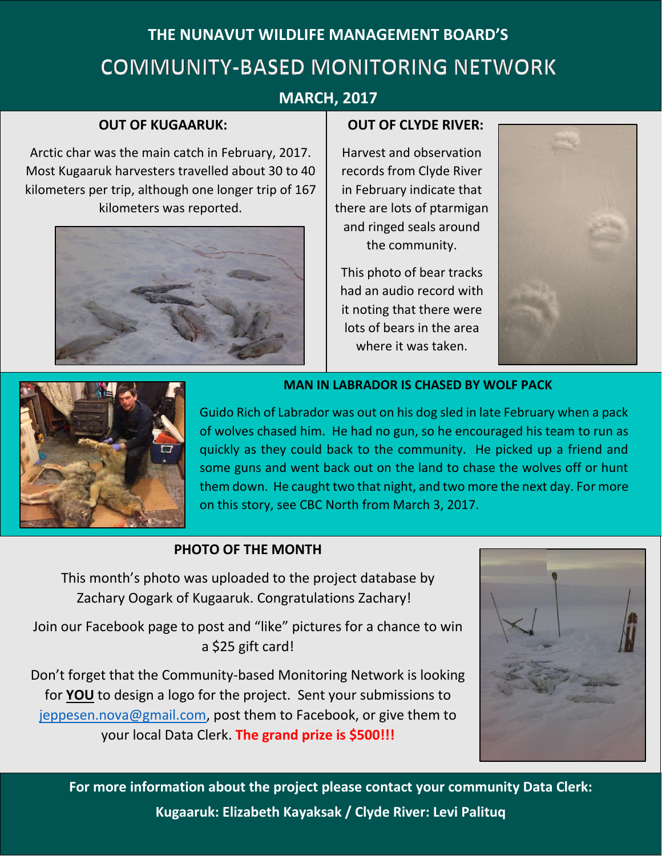# **THE NUNAVUT WILDLIFE MANAGEMENT BOARD'S COMMUNITY-BASED MONITORING NETWORK**

### **MARCH, 2017**

### **OUT OF KUGAARUK:**

Arctic char was the main catch in February, 2017. Most Kugaaruk harvesters travelled about 30 to 40 kilometers per trip, although one longer trip of 167 kilometers was reported.



#### **OUT OF CLYDE RIVER:**

Harvest and observation records from Clyde River in February indicate that there are lots of ptarmigan and ringed seals around the community.

This photo of bear tracks had an audio record with it noting that there were lots of bears in the area where it was taken.





**MAN IN LABRADOR IS CHASED BY WOLF PACK**

Guido Rich of Labrador was out on his dog sled in late February when a pack of wolves chased him. He had no gun, so he encouraged his team to run as quickly as they could back to the community. He picked up a friend and some guns and went back out on the land to chase the wolves off or hunt them down. He caught two that night, and two more the next day. For more on this story, see CBC North from March 3, 2017.

### **PHOTO OF THE MONTH**

This month's photo was uploaded to the project database by Zachary Oogark of Kugaaruk. Congratulations Zachary!

Join our Facebook page to post and "like" pictures for a chance to win a \$25 gift card!

Don't forget that the Community-based Monitoring Network is looking for **YOU** to design a logo for the project. Sent your submissions to [jeppesen.nova@gmail.com,](mailto:jeppesen.nova@gmail.com) post them to Facebook, or give them to your local Data Clerk. **The grand prize is \$500!!!**



**For more information about the project please contact your community Data Clerk: Kugaaruk: Elizabeth Kayaksak / Clyde River: Levi Palituq**